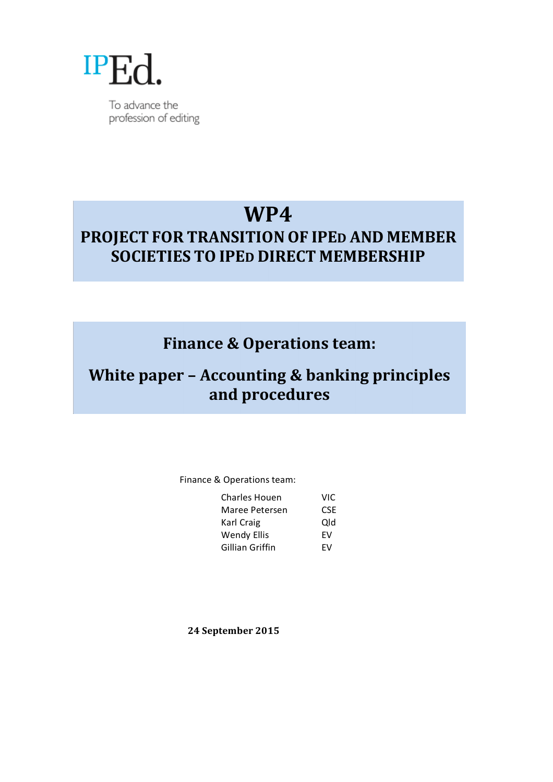

To advance the profession of editing

# **WP4**

# **PROJECT FOR TRANSITIONOF IPED AND MEMBER SOCIETIES TO IPED DIRECT MEMBERSHIP**

# **Finance & Operations team:**

# **White paper - Accounting & banking principles and procedures**

## Finance & Operations team:

| <b>Charles Houen</b> | VIC. |
|----------------------|------|
| Maree Petersen       | CSF  |
| Karl Craig           | Qld  |
| <b>Wendy Ellis</b>   | FV   |
| Gillian Griffin      | FV   |

**24 September 2015**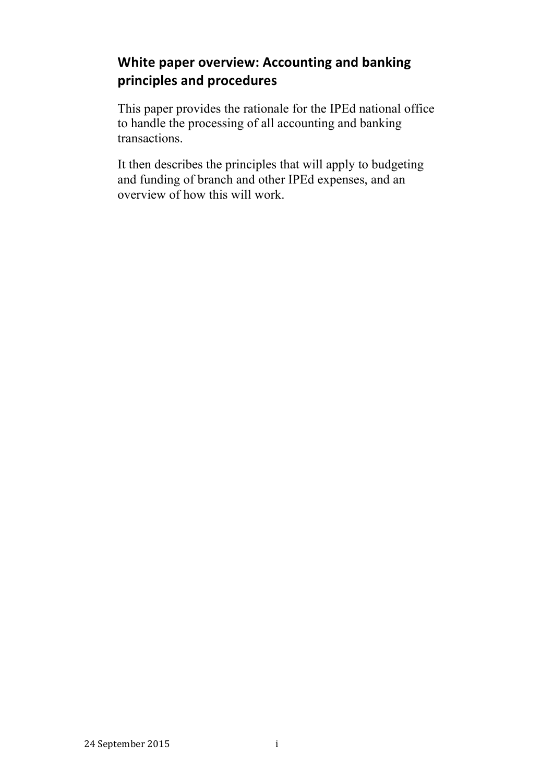## **White paper overview: Accounting and banking principles and procedures**

This paper provides the rationale for the IPEd national office to handle the processing of all accounting and banking transactions.

It then describes the principles that will apply to budgeting and funding of branch and other IPEd expenses, and an overview of how this will work.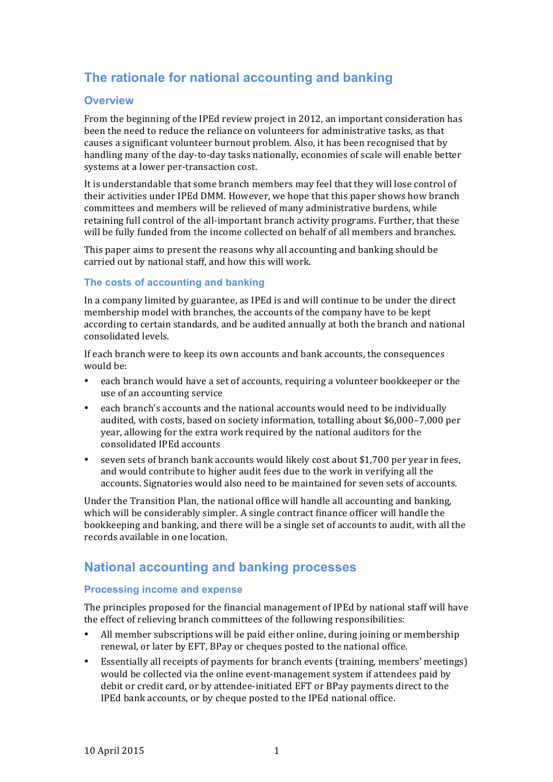## **The rationale for national accounting and banking**

### **Overview**

From the beginning of the IPEd review project in 2012, an important consideration has been the need to reduce the reliance on volunteers for administrative tasks, as that causes a significant volunteer burnout problem. Also, it has been recognised that by handling many of the day-to-day tasks nationally, economies of scale will enable better systems at a lower per-transaction cost.

It is understandable that some branch members may feel that they will lose control of their activities under IPEd DMM. However, we hope that this paper shows how branch committees and members will be relieved of many administrative burdens, while retaining full control of the all-important branch activity programs. Further, that these will be fully funded from the income collected on behalf of all members and branches.

This paper aims to present the reasons why all accounting and banking should be carried out by national staff, and how this will work.

## **The costs of accounting and banking**

In a company limited by guarantee, as IPEd is and will continue to be under the direct membership model with branches, the accounts of the company have to be kept according to certain standards, and be audited annually at both the branch and national consolidated levels. 

If each branch were to keep its own accounts and bank accounts, the consequences would be:

- each branch would have a set of accounts, requiring a volunteer bookkeeper or the use of an accounting service
- each branch's accounts and the national accounts would need to be individually audited, with costs, based on society information, totalling about \$6,000-7,000 per year, allowing for the extra work required by the national auditors for the consolidated IPEd accounts
- seven sets of branch bank accounts would likely cost about \$1,700 per year in fees, and would contribute to higher audit fees due to the work in verifying all the accounts. Signatories would also need to be maintained for seven sets of accounts.

Under the Transition Plan, the national office will handle all accounting and banking, which will be considerably simpler. A single contract finance officer will handle the bookkeeping and banking, and there will be a single set of accounts to audit, with all the records available in one location.

## **National accounting and banking processes**

### **Processing income and expense**

The principles proposed for the financial management of IPEd by national staff will have the effect of relieving branch committees of the following responsibilities:

- All member subscriptions will be paid either online, during joining or membership renewal, or later by EFT, BPay or cheques posted to the national office.
- Essentially all receipts of payments for branch events (training, members' meetings) would be collected via the online event-management system if attendees paid by debit or credit card, or by attendee-initiated EFT or BPay payments direct to the IPEd bank accounts, or by cheque posted to the IPEd national office.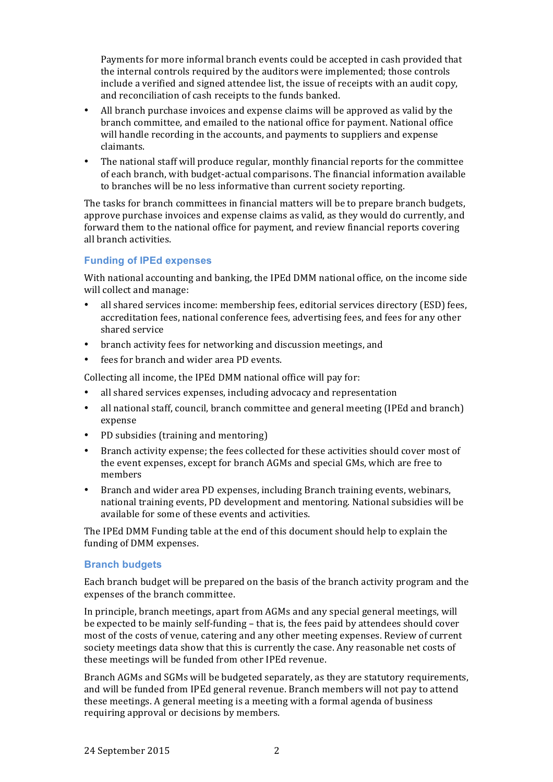Payments for more informal branch events could be accepted in cash provided that the internal controls required by the auditors were implemented; those controls include a verified and signed attendee list, the issue of receipts with an audit copy, and reconciliation of cash receipts to the funds banked.

- All branch purchase invoices and expense claims will be approved as valid by the branch committee, and emailed to the national office for payment. National office will handle recording in the accounts, and payments to suppliers and expense claimants.
- The national staff will produce regular, monthly financial reports for the committee of each branch, with budget-actual comparisons. The financial information available to branches will be no less informative than current society reporting.

The tasks for branch committees in financial matters will be to prepare branch budgets, approve purchase invoices and expense claims as valid, as they would do currently, and forward them to the national office for payment, and review financial reports covering all branch activities.

### **Funding of IPEd expenses**

With national accounting and banking, the IPEd DMM national office, on the income side will collect and manage:

- all shared services income: membership fees, editorial services directory (ESD) fees, accreditation fees, national conference fees, advertising fees, and fees for any other shared service
- branch activity fees for networking and discussion meetings, and
- fees for branch and wider area PD events.

Collecting all income, the IPEd DMM national office will pay for:

- all shared services expenses, including advocacy and representation
- all national staff, council, branch committee and general meeting (IPEd and branch) expense
- PD subsidies (training and mentoring)
- Branch activity expense; the fees collected for these activities should cover most of the event expenses, except for branch AGMs and special GMs, which are free to members
- Branch and wider area PD expenses, including Branch training events, webinars, national training events, PD development and mentoring. National subsidies will be available for some of these events and activities.

The IPEd DMM Funding table at the end of this document should help to explain the funding of DMM expenses.

### **Branch budgets**

Each branch budget will be prepared on the basis of the branch activity program and the expenses of the branch committee.

In principle, branch meetings, apart from AGMs and any special general meetings, will be expected to be mainly self-funding – that is, the fees paid by attendees should cover most of the costs of venue, catering and any other meeting expenses. Review of current society meetings data show that this is currently the case. Any reasonable net costs of these meetings will be funded from other IPEd revenue.

Branch AGMs and SGMs will be budgeted separately, as they are statutory requirements, and will be funded from IPEd general revenue. Branch members will not pay to attend these meetings. A general meeting is a meeting with a formal agenda of business requiring approval or decisions by members.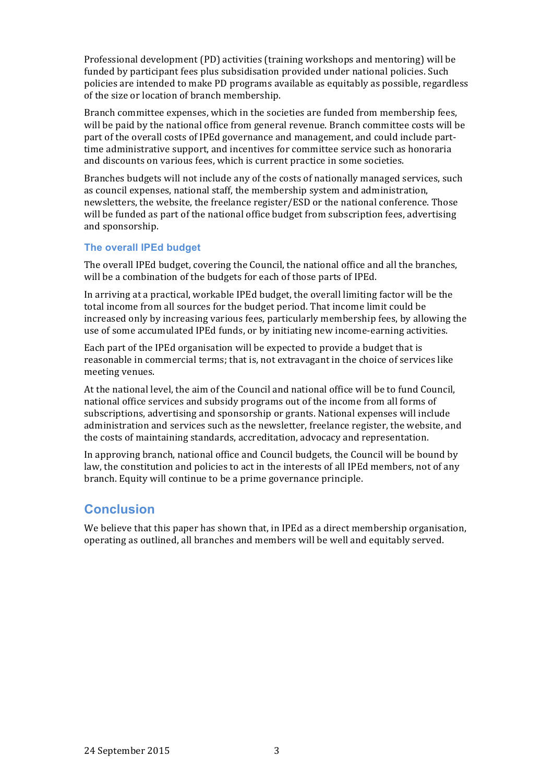Professional development (PD) activities (training workshops and mentoring) will be funded by participant fees plus subsidisation provided under national policies. Such policies are intended to make PD programs available as equitably as possible, regardless of the size or location of branch membership.

Branch committee expenses, which in the societies are funded from membership fees, will be paid by the national office from general revenue. Branch committee costs will be part of the overall costs of IPEd governance and management, and could include parttime administrative support, and incentives for committee service such as honoraria and discounts on various fees, which is current practice in some societies.

Branches budgets will not include any of the costs of nationally managed services, such as council expenses, national staff, the membership system and administration, newsletters, the website, the freelance register/ESD or the national conference. Those will be funded as part of the national office budget from subscription fees, advertising and sponsorship.

#### **The overall IPEd budget**

The overall IPEd budget, covering the Council, the national office and all the branches, will be a combination of the budgets for each of those parts of IPEd.

In arriving at a practical, workable IPEd budget, the overall limiting factor will be the total income from all sources for the budget period. That income limit could be increased only by increasing various fees, particularly membership fees, by allowing the use of some accumulated IPEd funds, or by initiating new income-earning activities.

Each part of the IPEd organisation will be expected to provide a budget that is reasonable in commercial terms; that is, not extravagant in the choice of services like meeting venues.

At the national level, the aim of the Council and national office will be to fund Council, national office services and subsidy programs out of the income from all forms of subscriptions, advertising and sponsorship or grants. National expenses will include administration and services such as the newsletter, freelance register, the website, and the costs of maintaining standards, accreditation, advocacy and representation.

In approving branch, national office and Council budgets, the Council will be bound by law, the constitution and policies to act in the interests of all IPEd members, not of any branch. Equity will continue to be a prime governance principle.

## **Conclusion**

We believe that this paper has shown that, in IPEd as a direct membership organisation, operating as outlined, all branches and members will be well and equitably served.